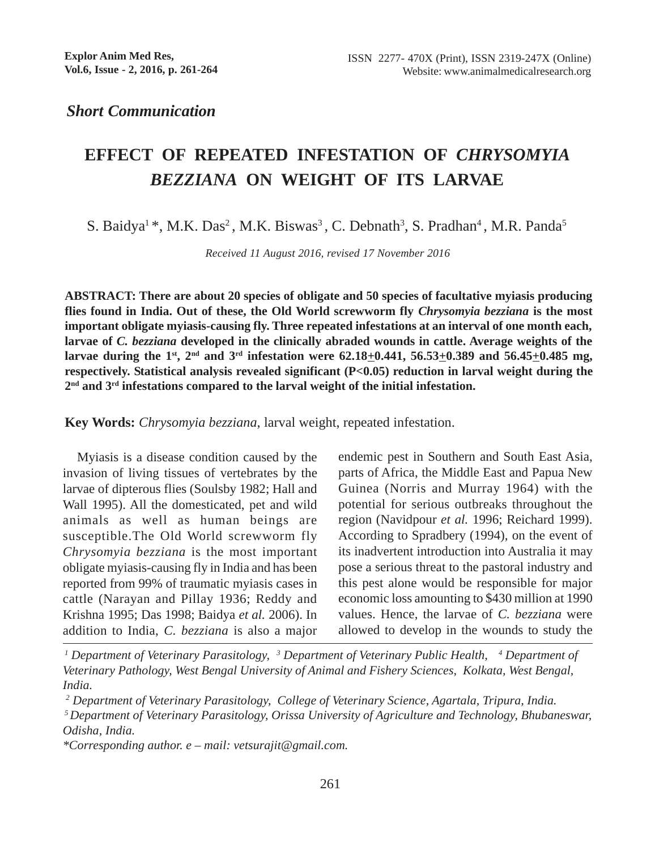*Short Communication*

## **EFFECT OF REPEATED INFESTATION OF** *CHRYSOMYIA BEZZIANA* **ON WEIGHT OF ITS LARVAE**

S. Baidya<sup>1</sup>\*, M.K. Das<sup>2</sup>, M.K. Biswas<sup>3</sup>, C. Debnath<sup>3</sup>, S. Pradhan<sup>4</sup>, M.R. Panda<sup>5</sup>

*Received 11 August 2016, revised 17 November 2016*

**ABSTRACT: There are about 20 species of obligate and 50 species of facultative myiasis producing flies found in India. Out of these, the Old World screwworm fly** *Chrysomyia bezziana* **is the most important obligate myiasis-causing fly. Three repeated infestations at an interval of one month each, larvae of** *C. bezziana* **developed in the clinically abraded wounds in cattle. Average weights of the larvae during the 1st, 2nd and 3rd infestation were 62.18+0.441, 56.53+0.389 and 56.45+0.485 mg, respectively. Statistical analysis revealed significant (P<0.05) reduction in larval weight during the 2nd and 3rd infestations compared to the larval weight of the initial infestation.**

**Key Words:** *Chrysomyia bezziana*, larval weight, repeated infestation.

Myiasis is a disease condition caused by the invasion of living tissues of vertebrates by the larvae of dipterous flies (Soulsby 1982; Hall and Wall 1995). All the domesticated, pet and wild animals as well as human beings are susceptible.The Old World screwworm fly *Chrysomyia bezziana* is the most important obligate myiasis-causing fly in India and has been reported from 99% of traumatic myiasis cases in cattle (Narayan and Pillay 1936; Reddy and Krishna 1995; Das 1998; Baidya *et al.* 2006). In addition to India, *C. bezziana* is also a major

endemic pest in Southern and South East Asia, parts of Africa, the Middle East and Papua New Guinea (Norris and Murray 1964) with the potential for serious outbreaks throughout the region (Navidpour *et al.* 1996; Reichard 1999). According to Spradbery (1994), on the event of its inadvertent introduction into Australia it may pose a serious threat to the pastoral industry and this pest alone would be responsible for major economic loss amounting to \$430 million at 1990 values. Hence, the larvae of *C. bezziana* were allowed to develop in the wounds to study the

*1 Department of Veterinary Parasitology, 3 Department of Veterinary Public Health, 4 Department of Veterinary Pathology, West Bengal University of Animal and Fishery Sciences, Kolkata, West Bengal, India.*

*2 Department of Veterinary Parasitology, College of Veterinary Science, Agartala, Tripura, India.*

*5 Department of Veterinary Parasitology, Orissa University of Agriculture and Technology, Bhubaneswar, Odisha, India.*

*\*Corresponding author. e – mail: vetsurajit@gmail.com.*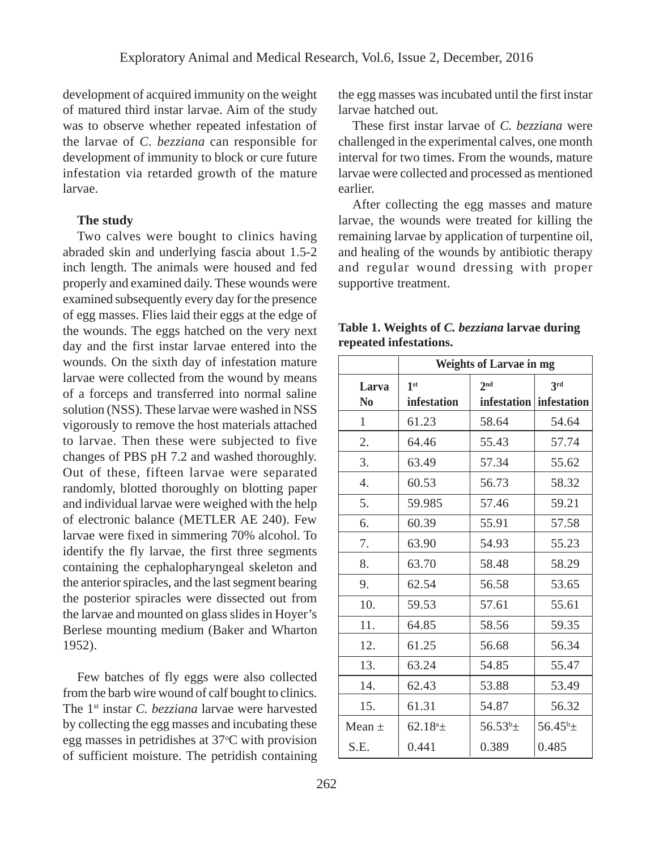development of acquired immunity on the weight of matured third instar larvae. Aim of the study was to observe whether repeated infestation of the larvae of *C. bezziana* can responsible for development of immunity to block or cure future infestation via retarded growth of the mature larvae.

## **The study**

Two calves were bought to clinics having abraded skin and underlying fascia about 1.5-2 inch length. The animals were housed and fed properly and examined daily. These wounds were examined subsequently every day for the presence of egg masses. Flies laid their eggs at the edge of the wounds. The eggs hatched on the very next day and the first instar larvae entered into the wounds. On the sixth day of infestation mature larvae were collected from the wound by means of a forceps and transferred into normal saline solution (NSS). These larvae were washed in NSS vigorously to remove the host materials attached to larvae. Then these were subjected to five changes of PBS pH 7.2 and washed thoroughly. Out of these, fifteen larvae were separated randomly, blotted thoroughly on blotting paper and individual larvae were weighed with the help of electronic balance (METLER AE 240). Few larvae were fixed in simmering 70% alcohol. To identify the fly larvae, the first three segments containing the cephalopharyngeal skeleton and the anterior spiracles, and the last segment bearing the posterior spiracles were dissected out from the larvae and mounted on glass slides in Hoyer's Berlese mounting medium (Baker and Wharton 1952).

Few batches of fly eggs were also collected from the barb wire wound of calf bought to clinics. The 1st instar *C. bezziana* larvae were harvested by collecting the egg masses and incubating these egg masses in petridishes at 37°C with provision of sufficient moisture. The petridish containing the egg masses was incubated until the first instar larvae hatched out.

These first instar larvae of *C. bezziana* were challenged in the experimental calves, one month interval for two times. From the wounds, mature larvae were collected and processed as mentioned earlier.

After collecting the egg masses and mature larvae, the wounds were treated for killing the remaining larvae by application of turpentine oil, and healing of the wounds by antibiotic therapy and regular wound dressing with proper supportive treatment.

|                  | <b>Weights of Larvae in mg</b> |                 |                         |  |  |
|------------------|--------------------------------|-----------------|-------------------------|--|--|
| Larva            | 1 <sup>st</sup>                | 2 <sub>nd</sub> | <b>3rd</b>              |  |  |
| N <sub>0</sub>   | infestation                    |                 | infestation infestation |  |  |
| 1                | 61.23                          | 58.64           | 54.64                   |  |  |
| 2.               | 64.46                          | 55.43           | 57.74                   |  |  |
| 3.               | 63.49                          | 57.34           | 55.62                   |  |  |
| $\overline{4}$ . | 60.53                          | 56.73           | 58.32                   |  |  |
| 5.               | 59.985                         | 57.46           | 59.21                   |  |  |
| 6.               | 60.39                          | 55.91           | 57.58                   |  |  |
| 7.               | 63.90                          | 54.93           | 55.23                   |  |  |
| 8.               | 63.70                          | 58.48           | 58.29                   |  |  |
| 9.               | 62.54                          | 56.58           | 53.65                   |  |  |
| 10.              | 59.53                          | 57.61           | 55.61                   |  |  |
| 11.              | 64.85                          | 58.56           | 59.35                   |  |  |
| 12.              | 61.25                          | 56.68           | 56.34                   |  |  |
| 13.              | 63.24                          | 54.85           | 55.47                   |  |  |
| 14.              | 62.43                          | 53.88           | 53.49                   |  |  |
| 15.              | 61.31                          | 54.87           | 56.32                   |  |  |
| Mean $\pm$       | $62.18^a \pm$                  | $56.53^{b}$ ±   | $56.45^b \pm$           |  |  |
| S.E.             | 0.441                          | 0.389           | 0.485                   |  |  |

| Table 1. Weights of C. bezziana larvae during |  |  |
|-----------------------------------------------|--|--|
| repeated infestations.                        |  |  |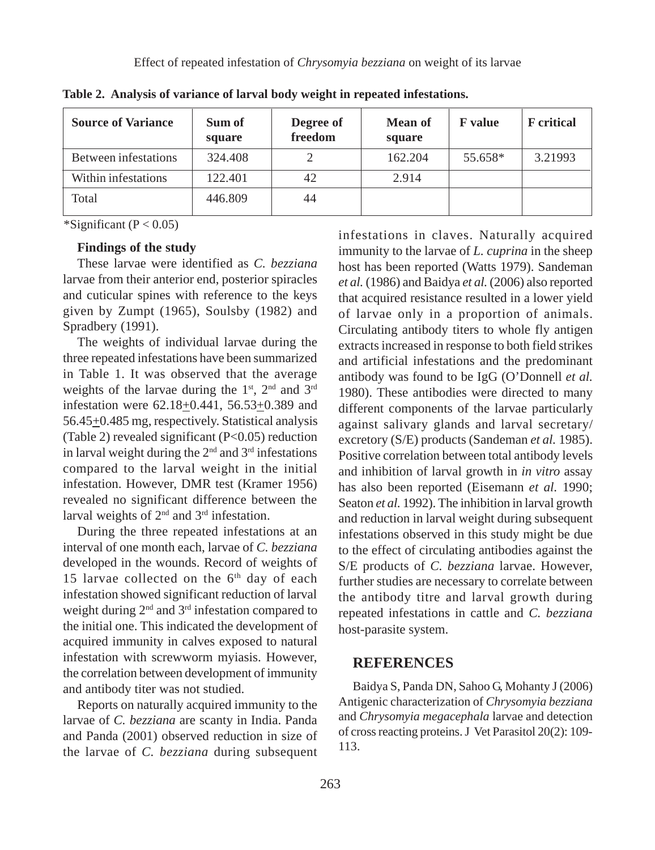| <b>Source of Variance</b> | Sum of<br>square | Degree of<br>freedom | <b>Mean of</b><br>square | <b>F</b> value | <b>F</b> critical |
|---------------------------|------------------|----------------------|--------------------------|----------------|-------------------|
| Between infestations      | 324.408          |                      | 162.204                  | 55.658*        | 3.21993           |
| Within infestations       | 122.401          | 42                   | 2.914                    |                |                   |
| Total                     | 446.809          | 44                   |                          |                |                   |

**Table 2. Analysis of variance of larval body weight in repeated infestations.**

\*Significant ( $P < 0.05$ )

## **Findings of the study**

These larvae were identified as *C. bezziana* larvae from their anterior end, posterior spiracles and cuticular spines with reference to the keys given by Zumpt (1965), Soulsby (1982) and Spradbery (1991).

The weights of individual larvae during the three repeated infestations have been summarized in Table 1. It was observed that the average weights of the larvae during the  $1<sup>st</sup>$ ,  $2<sup>nd</sup>$  and  $3<sup>rd</sup>$ infestation were  $62.18 \pm 0.441$ ,  $56.53 \pm 0.389$  and 56.45+0.485 mg, respectively. Statistical analysis (Table 2) revealed significant (P<0.05) reduction in larval weight during the  $2<sup>nd</sup>$  and  $3<sup>rd</sup>$  infestations compared to the larval weight in the initial infestation. However, DMR test (Kramer 1956) revealed no significant difference between the larval weights of  $2<sup>nd</sup>$  and  $3<sup>rd</sup>$  infestation.

During the three repeated infestations at an interval of one month each, larvae of *C. bezziana* developed in the wounds. Record of weights of 15 larvae collected on the  $6<sup>th</sup>$  day of each infestation showed significant reduction of larval weight during 2nd and 3rd infestation compared to the initial one. This indicated the development of acquired immunity in calves exposed to natural infestation with screwworm myiasis. However, the correlation between development of immunity and antibody titer was not studied.

Reports on naturally acquired immunity to the larvae of *C. bezziana* are scanty in India. Panda and Panda (2001) observed reduction in size of the larvae of *C. bezziana* during subsequent infestations in claves. Naturally acquired immunity to the larvae of *L. cuprina* in the sheep host has been reported (Watts 1979). Sandeman *et al.* (1986) and Baidya *et al.* (2006) also reported that acquired resistance resulted in a lower yield of larvae only in a proportion of animals. Circulating antibody titers to whole fly antigen extracts increased in response to both field strikes and artificial infestations and the predominant antibody was found to be IgG (O'Donnell *et al.* 1980). These antibodies were directed to many different components of the larvae particularly against salivary glands and larval secretary/ excretory (S/E) products (Sandeman *et al.* 1985). Positive correlation between total antibody levels and inhibition of larval growth in *in vitro* assay has also been reported (Eisemann *et al.* 1990; Seaton *et al.* 1992). The inhibition in larval growth and reduction in larval weight during subsequent infestations observed in this study might be due to the effect of circulating antibodies against the S/E products of *C. bezziana* larvae. However, further studies are necessary to correlate between the antibody titre and larval growth during repeated infestations in cattle and *C. bezziana* host-parasite system.

## **REFERENCES**

Baidya S, Panda DN, Sahoo G, Mohanty J (2006) Antigenic characterization of *Chrysomyia bezziana* and *Chrysomyia megacephala* larvae and detection of cross reacting proteins. J Vet Parasitol 20(2): 109- 113.